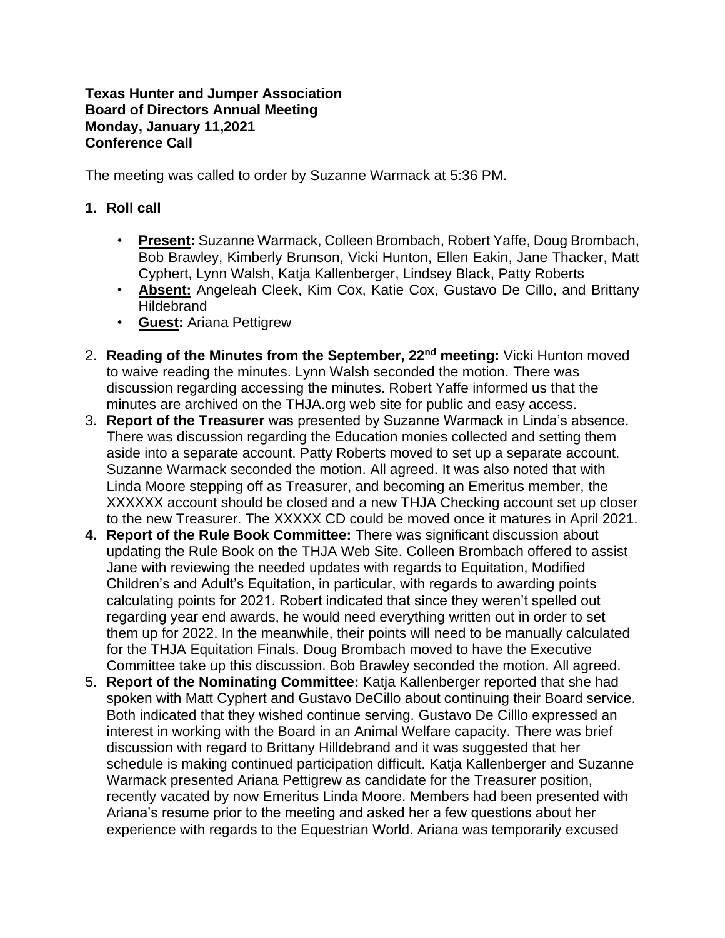## **Texas Hunter and Jumper Association Board of Directors Annual Meeting Monday, January 11,2021 Conference Call**

The meeting was called to order by Suzanne Warmack at 5:36 PM.

## **1. Roll call**

- **Present:** Suzanne Warmack, Colleen Brombach, Robert Yaffe, Doug Brombach, Bob Brawley, Kimberly Brunson, Vicki Hunton, Ellen Eakin, Jane Thacker, Matt Cyphert, Lynn Walsh, Katja Kallenberger, Lindsey Black, Patty Roberts
- **Absent:** Angeleah Cleek, Kim Cox, Katie Cox, Gustavo De Cillo, and Brittany **Hildebrand**
- **Guest:** Ariana Pettigrew
- 2. **Reading of the Minutes from the September, 22nd meeting:** Vicki Hunton moved to waive reading the minutes. Lynn Walsh seconded the motion. There was discussion regarding accessing the minutes. Robert Yaffe informed us that the minutes are archived on the THJA.org web site for public and easy access.
- 3. **Report of the Treasurer** was presented by Suzanne Warmack in Linda's absence. There was discussion regarding the Education monies collected and setting them aside into a separate account. Patty Roberts moved to set up a separate account. Suzanne Warmack seconded the motion. All agreed. It was also noted that with Linda Moore stepping off as Treasurer, and becoming an Emeritus member, the XXXXXX account should be closed and a new THJA Checking account set up closer to the new Treasurer. The XXXXX CD could be moved once it matures in April 2021.
- **4. Report of the Rule Book Committee:** There was significant discussion about updating the Rule Book on the THJA Web Site. Colleen Brombach offered to assist Jane with reviewing the needed updates with regards to Equitation, Modified Children's and Adult's Equitation, in particular, with regards to awarding points calculating points for 2021. Robert indicated that since they weren't spelled out regarding year end awards, he would need everything written out in order to set them up for 2022. In the meanwhile, their points will need to be manually calculated for the THJA Equitation Finals. Doug Brombach moved to have the Executive Committee take up this discussion. Bob Brawley seconded the motion. All agreed.
- 5. **Report of the Nominating Committee:** Katja Kallenberger reported that she had spoken with Matt Cyphert and Gustavo DeCillo about continuing their Board service. Both indicated that they wished continue serving. Gustavo De Cilllo expressed an interest in working with the Board in an Animal Welfare capacity. There was brief discussion with regard to Brittany Hilldebrand and it was suggested that her schedule is making continued participation difficult. Katja Kallenberger and Suzanne Warmack presented Ariana Pettigrew as candidate for the Treasurer position, recently vacated by now Emeritus Linda Moore. Members had been presented with Ariana's resume prior to the meeting and asked her a few questions about her experience with regards to the Equestrian World. Ariana was temporarily excused